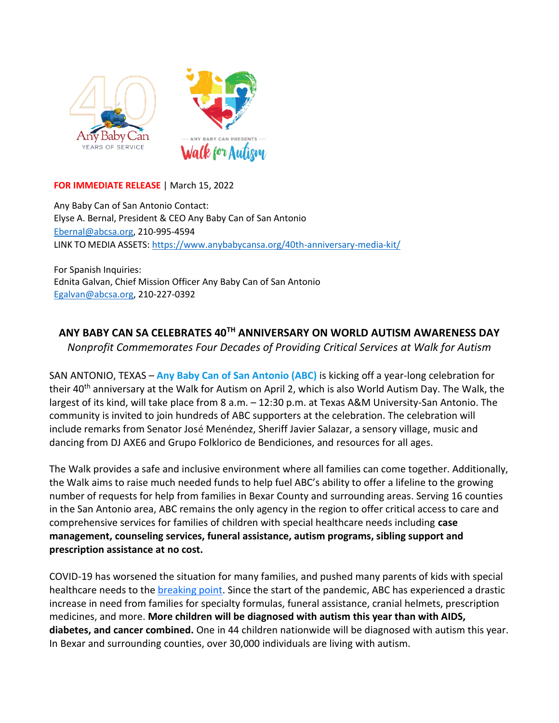

## **FOR IMMEDIATE RELEASE** | March 15, 2022

Any Baby Can of San Antonio Contact: Elyse A. Bernal, President & CEO Any Baby Can of San Antonio [Ebernal@abcsa.org,](mailto:Ebernal@abcsa.org) 210-995-4594 LINK TO MEDIA ASSETS[: https://www.anybabycansa.org/40th-anniversary-media-kit/](https://www.anybabycansa.org/40th-anniversary-media-kit/)

For Spanish Inquiries: Ednita Galvan, Chief Mission Officer Any Baby Can of San Antonio [Egalvan@abcsa.org,](mailto:Egalvan@abcsa.org) 210-227-0392

## **ANY BABY CAN SA CELEBRATES 40TH ANNIVERSARY ON WORLD AUTISM AWARENESS DAY**

*Nonprofit Commemorates Four Decades of Providing Critical Services at Walk for Autism*

SAN ANTONIO, TEXAS – **Any Baby Can of San Antonio (ABC)** is kicking off a year-long celebration for their 40<sup>th</sup> anniversary at the Walk for Autism on April 2, which is also World Autism Day. The Walk, the largest of its kind, will take place from 8 a.m. – 12:30 p.m. at Texas A&M University-San Antonio. The community is invited to join hundreds of ABC supporters at the celebration. The celebration will include remarks from Senator José Menéndez, Sheriff Javier Salazar, a sensory village, music and dancing from DJ AXE6 and Grupo Folklorico de Bendiciones, and resources for all ages.

The Walk provides a safe and inclusive environment where all families can come together. Additionally, the Walk aims to raise much needed funds to help fuel ABC's ability to offer a lifeline to the growing number of requests for help from families in Bexar County and surrounding areas. Serving 16 counties in the San Antonio area, ABC remains the only agency in the region to offer critical access to care and comprehensive services for families of children with special healthcare needs including **case management, counseling services, funeral assistance, autism programs, sibling support and prescription assistance at no cost.** 

COVID-19 has worsened the situation for many families, and pushed many parents of kids with special healthcare needs to the [breaking point.](https://www.disabilityscoop.com/2020/08/19/pandemic-pushes-parents-of-kids-with-special-needs-to-breaking-point/28760/) Since the start of the pandemic, ABC has experienced a drastic increase in need from families for specialty formulas, funeral assistance, cranial helmets, prescription medicines, and more. **More children will be diagnosed with autism this year than with AIDS, diabetes, and cancer combined.** One in 44 children nationwide will be diagnosed with autism this year. In Bexar and surrounding counties, over 30,000 individuals are living with autism.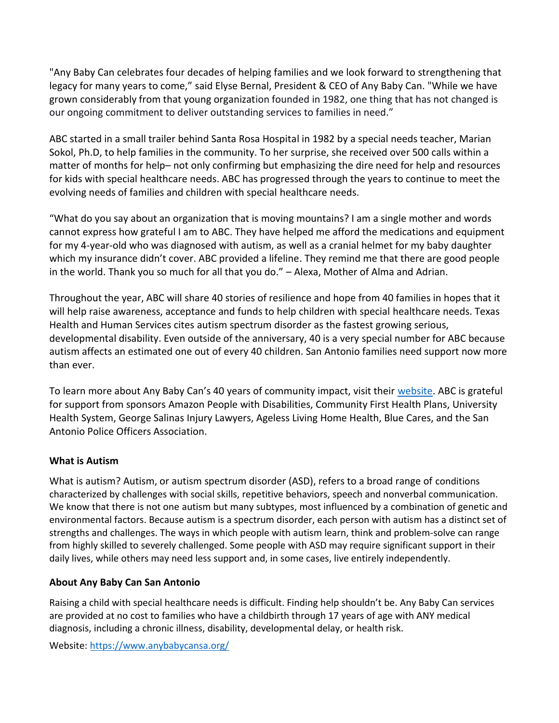"Any Baby Can celebrates four decades of helping families and we look forward to strengthening that legacy for many years to come," said Elyse Bernal, President & CEO of Any Baby Can. "While we have grown considerably from that young organization founded in 1982, one thing that has not changed is our ongoing commitment to deliver outstanding services to families in need."

ABC started in a small trailer behind Santa Rosa Hospital in 1982 by a special needs teacher, Marian Sokol, Ph.D, to help families in the community. To her surprise, she received over 500 calls within a matter of months for help– not only confirming but emphasizing the dire need for help and resources for kids with special healthcare needs. ABC has progressed through the years to continue to meet the evolving needs of families and children with special healthcare needs.

"What do you say about an organization that is moving mountains? I am a single mother and words cannot express how grateful I am to ABC. They have helped me afford the medications and equipment for my 4-year-old who was diagnosed with autism, as well as a cranial helmet for my baby daughter which my insurance didn't cover. ABC provided a lifeline. They remind me that there are good people in the world. Thank you so much for all that you do." – Alexa, Mother of Alma and Adrian.

Throughout the year, ABC will share 40 stories of resilience and hope from 40 families in hopes that it will help raise awareness, acceptance and funds to help children with special healthcare needs. Texas Health and Human Services cites autism spectrum disorder as the fastest growing serious, developmental disability. Even outside of the anniversary, 40 is a very special number for ABC because autism affects an estimated one out of every 40 children. San Antonio families need support now more than ever.

To learn more about Any Baby Can's 40 years of community impact, visit their [website.](https://www.anybabycansa.org/) ABC is grateful for support from sponsors Amazon People with Disabilities, Community First Health Plans, University Health System, George Salinas Injury Lawyers, Ageless Living Home Health, Blue Cares, and the San Antonio Police Officers Association.

## **What is Autism**

What is autism? Autism, or autism spectrum disorder (ASD), refers to a broad range of conditions characterized by challenges with social skills, repetitive behaviors, speech and nonverbal communication. We know that there is not one autism but many subtypes, most influenced by a combination of genetic and environmental factors. Because autism is a spectrum disorder, each person with autism has a distinct set of strengths and challenges. The ways in which people with autism learn, think and problem-solve can range from highly skilled to severely challenged. Some people with ASD may require significant support in their daily lives, while others may need less support and, in some cases, live entirely independently.

## **About Any Baby Can San Antonio**

Raising a child with special healthcare needs is difficult. Finding help shouldn't be. Any Baby Can services are provided at no cost to families who have a childbirth through 17 years of age with ANY medical diagnosis, including a chronic illness, disability, developmental delay, or health risk.

Website:<https://www.anybabycansa.org/>